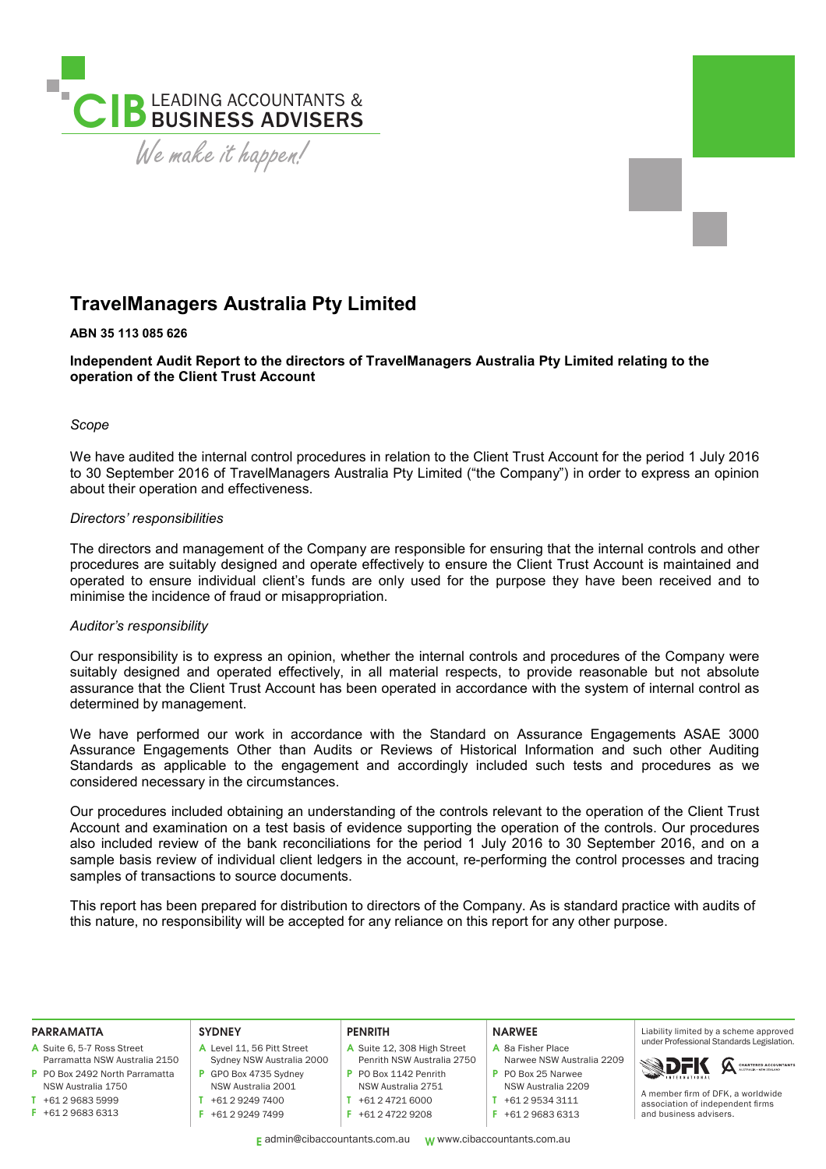

# **TravelManagers Australia Pty Limited**

# **ABN 35 113 085 626**

**Independent Audit Report to the directors of TravelManagers Australia Pty Limited relating to the operation of the Client Trust Account** 

## *Scope*

We have audited the internal control procedures in relation to the Client Trust Account for the period 1 July 2016 to 30 September 2016 of TravelManagers Australia Pty Limited ("the Company") in order to express an opinion about their operation and effectiveness.

# *Directors' responsibilities*

The directors and management of the Company are responsible for ensuring that the internal controls and other procedures are suitably designed and operate effectively to ensure the Client Trust Account is maintained and operated to ensure individual client's funds are only used for the purpose they have been received and to minimise the incidence of fraud or misappropriation.

# *Auditor's responsibility*

Our responsibility is to express an opinion, whether the internal controls and procedures of the Company were suitably designed and operated effectively, in all material respects, to provide reasonable but not absolute assurance that the Client Trust Account has been operated in accordance with the system of internal control as determined by management.

We have performed our work in accordance with the Standard on Assurance Engagements ASAE 3000 Assurance Engagements Other than Audits or Reviews of Historical Information and such other Auditing Standards as applicable to the engagement and accordingly included such tests and procedures as we considered necessary in the circumstances.

Our procedures included obtaining an understanding of the controls relevant to the operation of the Client Trust Account and examination on a test basis of evidence supporting the operation of the controls. Our procedures also included review of the bank reconciliations for the period 1 July 2016 to 30 September 2016, and on a sample basis review of individual client ledgers in the account, re-performing the control processes and tracing samples of transactions to source documents.

This report has been prepared for distribution to directors of the Company. As is standard practice with audits of this nature, no responsibility will be accepted for any reliance on this report for any other purpose.

| <b>PARRAMATTA</b>                      | <b>SYDNEY</b>                      | <b>PENRITH</b>                     | <b>NARWEE</b>                      | Liability limited by a scheme approved                                                          |
|----------------------------------------|------------------------------------|------------------------------------|------------------------------------|-------------------------------------------------------------------------------------------------|
| A Suite 6, 5-7 Ross Street             | Level 11, 56 Pitt Street           | A Suite 12, 308 High Street        | A 8a Fisher Place                  | under Professional Standards Legislation.                                                       |
| Parramatta NSW Australia 2150          | Sydney NSW Australia 2000          | Penrith NSW Australia 2750         | Narwee NSW Australia 2209          | CHARTERED ACCOUNTANTS                                                                           |
| P PO Box 2492 North Parramatta         | GPO Box 4735 Sydney                | P PO Box 1142 Penrith              | P PO Box 25 Narwee                 | <b>SIDEK</b>                                                                                    |
| NSW Australia 1750                     | NSW Australia 2001                 | NSW Australia 2751                 | NSW Australia 2209                 |                                                                                                 |
| +61 2 9683 5999<br>$F$ +61 2 9683 6313 | +61 2 9249 7400<br>+61 2 9249 7499 | +61 2 4721 6000<br>+61 2 4722 9208 | +61 2 9534 3111<br>+61 2 9683 6313 | A member firm of DFK, a worldwide<br>association of independent firms<br>and business advisers. |